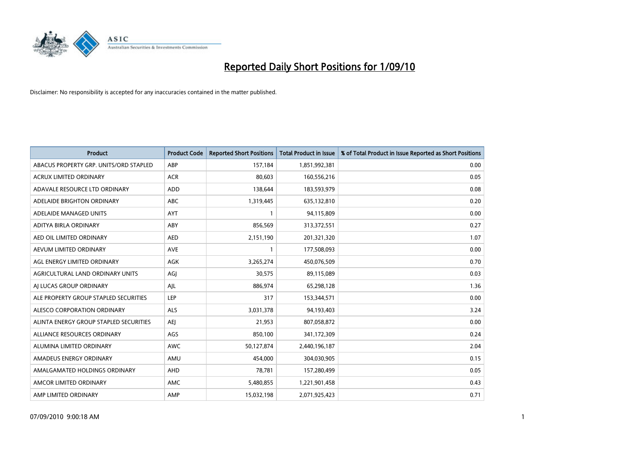

| <b>Product</b>                         | <b>Product Code</b> | <b>Reported Short Positions</b> | Total Product in Issue | % of Total Product in Issue Reported as Short Positions |
|----------------------------------------|---------------------|---------------------------------|------------------------|---------------------------------------------------------|
| ABACUS PROPERTY GRP. UNITS/ORD STAPLED | ABP                 | 157,184                         | 1,851,992,381          | 0.00                                                    |
| ACRUX LIMITED ORDINARY                 | <b>ACR</b>          | 80,603                          | 160,556,216            | 0.05                                                    |
| ADAVALE RESOURCE LTD ORDINARY          | <b>ADD</b>          | 138,644                         | 183,593,979            | 0.08                                                    |
| ADELAIDE BRIGHTON ORDINARY             | <b>ABC</b>          | 1,319,445                       | 635,132,810            | 0.20                                                    |
| ADELAIDE MANAGED UNITS                 | <b>AYT</b>          |                                 | 94,115,809             | 0.00                                                    |
| ADITYA BIRLA ORDINARY                  | ABY                 | 856,569                         | 313,372,551            | 0.27                                                    |
| AED OIL LIMITED ORDINARY               | <b>AED</b>          | 2,151,190                       | 201,321,320            | 1.07                                                    |
| AEVUM LIMITED ORDINARY                 | <b>AVE</b>          |                                 | 177,508,093            | 0.00                                                    |
| AGL ENERGY LIMITED ORDINARY            | AGK                 | 3,265,274                       | 450,076,509            | 0.70                                                    |
| AGRICULTURAL LAND ORDINARY UNITS       | AGJ                 | 30,575                          | 89,115,089             | 0.03                                                    |
| AJ LUCAS GROUP ORDINARY                | AJL                 | 886,974                         | 65,298,128             | 1.36                                                    |
| ALE PROPERTY GROUP STAPLED SECURITIES  | LEP                 | 317                             | 153,344,571            | 0.00                                                    |
| ALESCO CORPORATION ORDINARY            | <b>ALS</b>          | 3,031,378                       | 94,193,403             | 3.24                                                    |
| ALINTA ENERGY GROUP STAPLED SECURITIES | <b>AEI</b>          | 21,953                          | 807,058,872            | 0.00                                                    |
| ALLIANCE RESOURCES ORDINARY            | AGS                 | 850,100                         | 341,172,309            | 0.24                                                    |
| ALUMINA LIMITED ORDINARY               | <b>AWC</b>          | 50,127,874                      | 2,440,196,187          | 2.04                                                    |
| AMADEUS ENERGY ORDINARY                | AMU                 | 454,000                         | 304,030,905            | 0.15                                                    |
| AMALGAMATED HOLDINGS ORDINARY          | <b>AHD</b>          | 78,781                          | 157,280,499            | 0.05                                                    |
| AMCOR LIMITED ORDINARY                 | AMC                 | 5,480,855                       | 1,221,901,458          | 0.43                                                    |
| AMP LIMITED ORDINARY                   | AMP                 | 15,032,198                      | 2,071,925,423          | 0.71                                                    |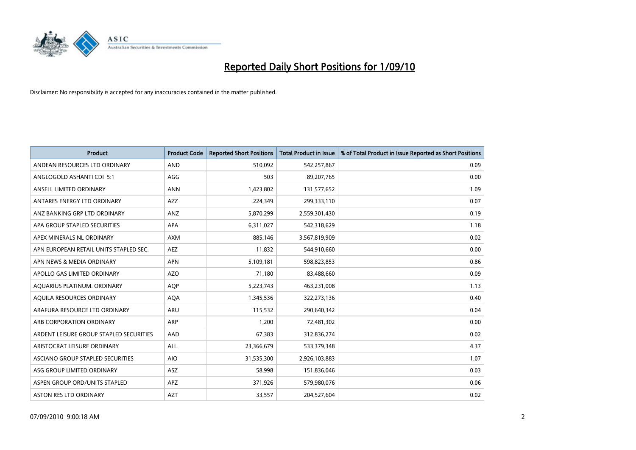

| <b>Product</b>                          | <b>Product Code</b> | <b>Reported Short Positions</b> | Total Product in Issue | % of Total Product in Issue Reported as Short Positions |
|-----------------------------------------|---------------------|---------------------------------|------------------------|---------------------------------------------------------|
| ANDEAN RESOURCES LTD ORDINARY           | <b>AND</b>          | 510,092                         | 542,257,867            | 0.09                                                    |
| ANGLOGOLD ASHANTI CDI 5:1               | AGG                 | 503                             | 89,207,765             | 0.00                                                    |
| ANSELL LIMITED ORDINARY                 | <b>ANN</b>          | 1,423,802                       | 131,577,652            | 1.09                                                    |
| ANTARES ENERGY LTD ORDINARY             | <b>AZZ</b>          | 224,349                         | 299,333,110            | 0.07                                                    |
| ANZ BANKING GRP LTD ORDINARY            | ANZ                 | 5,870,299                       | 2,559,301,430          | 0.19                                                    |
| APA GROUP STAPLED SECURITIES            | <b>APA</b>          | 6,311,027                       | 542,318,629            | 1.18                                                    |
| APEX MINERALS NL ORDINARY               | <b>AXM</b>          | 885,146                         | 3,567,819,909          | 0.02                                                    |
| APN EUROPEAN RETAIL UNITS STAPLED SEC.  | <b>AEZ</b>          | 11,832                          | 544,910,660            | 0.00                                                    |
| APN NEWS & MEDIA ORDINARY               | <b>APN</b>          | 5,109,181                       | 598,823,853            | 0.86                                                    |
| APOLLO GAS LIMITED ORDINARY             | <b>AZO</b>          | 71,180                          | 83,488,660             | 0.09                                                    |
| AQUARIUS PLATINUM. ORDINARY             | AQP                 | 5,223,743                       | 463,231,008            | 1.13                                                    |
| AQUILA RESOURCES ORDINARY               | <b>AQA</b>          | 1,345,536                       | 322,273,136            | 0.40                                                    |
| ARAFURA RESOURCE LTD ORDINARY           | <b>ARU</b>          | 115,532                         | 290,640,342            | 0.04                                                    |
| ARB CORPORATION ORDINARY                | <b>ARP</b>          | 1,200                           | 72,481,302             | 0.00                                                    |
| ARDENT LEISURE GROUP STAPLED SECURITIES | AAD                 | 67,383                          | 312,836,274            | 0.02                                                    |
| ARISTOCRAT LEISURE ORDINARY             | <b>ALL</b>          | 23,366,679                      | 533,379,348            | 4.37                                                    |
| ASCIANO GROUP STAPLED SECURITIES        | <b>AIO</b>          | 31,535,300                      | 2,926,103,883          | 1.07                                                    |
| ASG GROUP LIMITED ORDINARY              | <b>ASZ</b>          | 58,998                          | 151,836,046            | 0.03                                                    |
| ASPEN GROUP ORD/UNITS STAPLED           | <b>APZ</b>          | 371,926                         | 579,980,076            | 0.06                                                    |
| ASTON RES LTD ORDINARY                  | <b>AZT</b>          | 33,557                          | 204,527,604            | 0.02                                                    |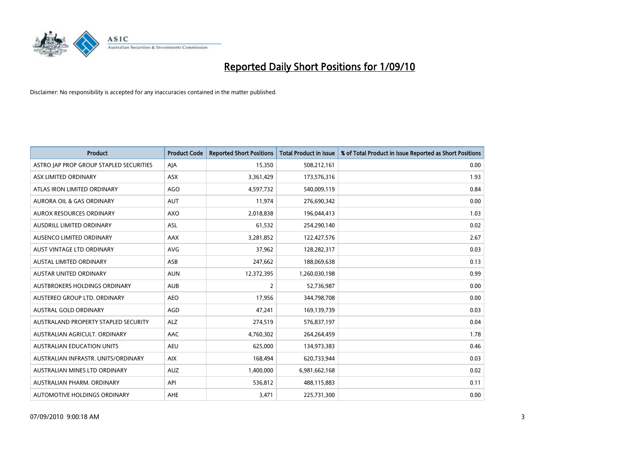

| <b>Product</b>                          | <b>Product Code</b> | <b>Reported Short Positions</b> | Total Product in Issue | % of Total Product in Issue Reported as Short Positions |
|-----------------------------------------|---------------------|---------------------------------|------------------------|---------------------------------------------------------|
| ASTRO JAP PROP GROUP STAPLED SECURITIES | AJA                 | 15,350                          | 508,212,161            | 0.00                                                    |
| ASX LIMITED ORDINARY                    | <b>ASX</b>          | 3,361,429                       | 173,576,316            | 1.93                                                    |
| ATLAS IRON LIMITED ORDINARY             | <b>AGO</b>          | 4,597,732                       | 540,009,119            | 0.84                                                    |
| AURORA OIL & GAS ORDINARY               | <b>AUT</b>          | 11,974                          | 276,690,342            | 0.00                                                    |
| <b>AUROX RESOURCES ORDINARY</b>         | <b>AXO</b>          | 2,018,838                       | 196,044,413            | 1.03                                                    |
| AUSDRILL LIMITED ORDINARY               | <b>ASL</b>          | 61,532                          | 254,290,140            | 0.02                                                    |
| AUSENCO LIMITED ORDINARY                | <b>AAX</b>          | 3,281,852                       | 122,427,576            | 2.67                                                    |
| AUST VINTAGE LTD ORDINARY               | <b>AVG</b>          | 37,962                          | 128,282,317            | 0.03                                                    |
| AUSTAL LIMITED ORDINARY                 | ASB                 | 247,662                         | 188,069,638            | 0.13                                                    |
| <b>AUSTAR UNITED ORDINARY</b>           | <b>AUN</b>          | 12,372,395                      | 1,260,030,198          | 0.99                                                    |
| AUSTBROKERS HOLDINGS ORDINARY           | <b>AUB</b>          | 2                               | 52,736,987             | 0.00                                                    |
| AUSTEREO GROUP LTD. ORDINARY            | <b>AEO</b>          | 17,956                          | 344,798,708            | 0.00                                                    |
| <b>AUSTRAL GOLD ORDINARY</b>            | <b>AGD</b>          | 47.241                          | 169,139,739            | 0.03                                                    |
| AUSTRALAND PROPERTY STAPLED SECURITY    | <b>ALZ</b>          | 274,519                         | 576,837,197            | 0.04                                                    |
| AUSTRALIAN AGRICULT. ORDINARY           | <b>AAC</b>          | 4,760,302                       | 264,264,459            | 1.78                                                    |
| <b>AUSTRALIAN EDUCATION UNITS</b>       | <b>AEU</b>          | 625,000                         | 134,973,383            | 0.46                                                    |
| AUSTRALIAN INFRASTR, UNITS/ORDINARY     | <b>AIX</b>          | 168,494                         | 620,733,944            | 0.03                                                    |
| AUSTRALIAN MINES LTD ORDINARY           | <b>AUZ</b>          | 1,400,000                       | 6,981,662,168          | 0.02                                                    |
| AUSTRALIAN PHARM, ORDINARY              | API                 | 536,812                         | 488,115,883            | 0.11                                                    |
| AUTOMOTIVE HOLDINGS ORDINARY            | AHE                 | 3,471                           | 225,731,300            | 0.00                                                    |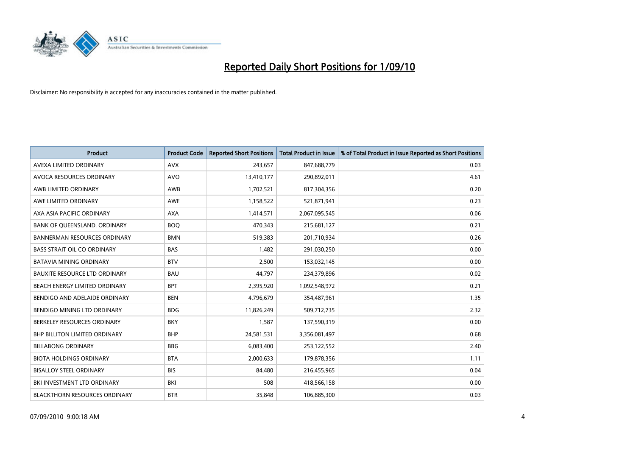

| <b>Product</b>                       | <b>Product Code</b> | <b>Reported Short Positions</b> | <b>Total Product in Issue</b> | % of Total Product in Issue Reported as Short Positions |
|--------------------------------------|---------------------|---------------------------------|-------------------------------|---------------------------------------------------------|
| AVEXA LIMITED ORDINARY               | <b>AVX</b>          | 243,657                         | 847,688,779                   | 0.03                                                    |
| AVOCA RESOURCES ORDINARY             | <b>AVO</b>          | 13,410,177                      | 290,892,011                   | 4.61                                                    |
| AWB LIMITED ORDINARY                 | AWB                 | 1,702,521                       | 817,304,356                   | 0.20                                                    |
| AWE LIMITED ORDINARY                 | <b>AWE</b>          | 1,158,522                       | 521,871,941                   | 0.23                                                    |
| AXA ASIA PACIFIC ORDINARY            | <b>AXA</b>          | 1,414,571                       | 2,067,095,545                 | 0.06                                                    |
| BANK OF QUEENSLAND. ORDINARY         | <b>BOQ</b>          | 470,343                         | 215,681,127                   | 0.21                                                    |
| <b>BANNERMAN RESOURCES ORDINARY</b>  | <b>BMN</b>          | 519,383                         | 201,710,934                   | 0.26                                                    |
| <b>BASS STRAIT OIL CO ORDINARY</b>   | <b>BAS</b>          | 1,482                           | 291,030,250                   | 0.00                                                    |
| <b>BATAVIA MINING ORDINARY</b>       | <b>BTV</b>          | 2,500                           | 153,032,145                   | 0.00                                                    |
| <b>BAUXITE RESOURCE LTD ORDINARY</b> | <b>BAU</b>          | 44,797                          | 234,379,896                   | 0.02                                                    |
| BEACH ENERGY LIMITED ORDINARY        | <b>BPT</b>          | 2,395,920                       | 1,092,548,972                 | 0.21                                                    |
| BENDIGO AND ADELAIDE ORDINARY        | <b>BEN</b>          | 4,796,679                       | 354,487,961                   | 1.35                                                    |
| <b>BENDIGO MINING LTD ORDINARY</b>   | <b>BDG</b>          | 11,826,249                      | 509,712,735                   | 2.32                                                    |
| BERKELEY RESOURCES ORDINARY          | <b>BKY</b>          | 1,587                           | 137,590,319                   | 0.00                                                    |
| <b>BHP BILLITON LIMITED ORDINARY</b> | <b>BHP</b>          | 24,581,531                      | 3,356,081,497                 | 0.68                                                    |
| <b>BILLABONG ORDINARY</b>            | <b>BBG</b>          | 6,083,400                       | 253,122,552                   | 2.40                                                    |
| <b>BIOTA HOLDINGS ORDINARY</b>       | <b>BTA</b>          | 2,000,633                       | 179,878,356                   | 1.11                                                    |
| <b>BISALLOY STEEL ORDINARY</b>       | <b>BIS</b>          | 84,480                          | 216,455,965                   | 0.04                                                    |
| BKI INVESTMENT LTD ORDINARY          | <b>BKI</b>          | 508                             | 418,566,158                   | 0.00                                                    |
| <b>BLACKTHORN RESOURCES ORDINARY</b> | <b>BTR</b>          | 35,848                          | 106,885,300                   | 0.03                                                    |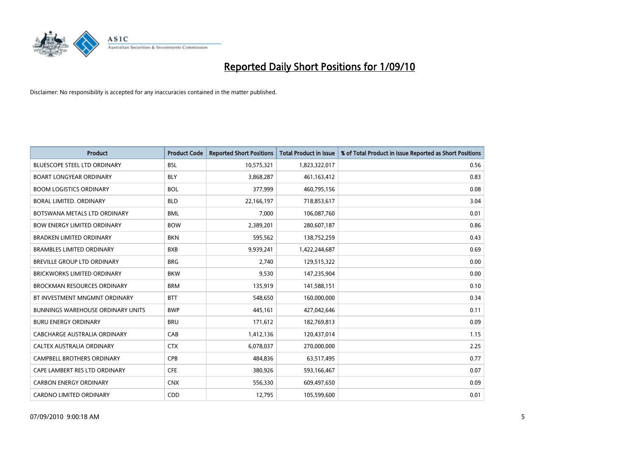

| <b>Product</b>                           | <b>Product Code</b> | <b>Reported Short Positions</b> | Total Product in Issue | % of Total Product in Issue Reported as Short Positions |
|------------------------------------------|---------------------|---------------------------------|------------------------|---------------------------------------------------------|
| <b>BLUESCOPE STEEL LTD ORDINARY</b>      | <b>BSL</b>          | 10,575,321                      | 1,823,322,017          | 0.56                                                    |
| <b>BOART LONGYEAR ORDINARY</b>           | <b>BLY</b>          | 3,868,287                       | 461,163,412            | 0.83                                                    |
| <b>BOOM LOGISTICS ORDINARY</b>           | <b>BOL</b>          | 377,999                         | 460,795,156            | 0.08                                                    |
| BORAL LIMITED. ORDINARY                  | <b>BLD</b>          | 22,166,197                      | 718,853,617            | 3.04                                                    |
| BOTSWANA METALS LTD ORDINARY             | <b>BML</b>          | 7,000                           | 106,087,760            | 0.01                                                    |
| <b>BOW ENERGY LIMITED ORDINARY</b>       | <b>BOW</b>          | 2,389,201                       | 280,607,187            | 0.86                                                    |
| <b>BRADKEN LIMITED ORDINARY</b>          | <b>BKN</b>          | 595,562                         | 138,752,259            | 0.43                                                    |
| <b>BRAMBLES LIMITED ORDINARY</b>         | <b>BXB</b>          | 9,939,241                       | 1,422,244,687          | 0.69                                                    |
| BREVILLE GROUP LTD ORDINARY              | <b>BRG</b>          | 2,740                           | 129,515,322            | 0.00                                                    |
| <b>BRICKWORKS LIMITED ORDINARY</b>       | <b>BKW</b>          | 9,530                           | 147,235,904            | 0.00                                                    |
| <b>BROCKMAN RESOURCES ORDINARY</b>       | <b>BRM</b>          | 135,919                         | 141,588,151            | 0.10                                                    |
| BT INVESTMENT MNGMNT ORDINARY            | <b>BTT</b>          | 548,650                         | 160,000,000            | 0.34                                                    |
| <b>BUNNINGS WAREHOUSE ORDINARY UNITS</b> | <b>BWP</b>          | 445,161                         | 427,042,646            | 0.11                                                    |
| <b>BURU ENERGY ORDINARY</b>              | <b>BRU</b>          | 171,612                         | 182,769,813            | 0.09                                                    |
| CABCHARGE AUSTRALIA ORDINARY             | CAB                 | 1,412,136                       | 120,437,014            | 1.15                                                    |
| CALTEX AUSTRALIA ORDINARY                | <b>CTX</b>          | 6,078,037                       | 270,000,000            | 2.25                                                    |
| <b>CAMPBELL BROTHERS ORDINARY</b>        | <b>CPB</b>          | 484,836                         | 63,517,495             | 0.77                                                    |
| CAPE LAMBERT RES LTD ORDINARY            | <b>CFE</b>          | 380,926                         | 593,166,467            | 0.07                                                    |
| <b>CARBON ENERGY ORDINARY</b>            | <b>CNX</b>          | 556,330                         | 609,497,650            | 0.09                                                    |
| CARDNO LIMITED ORDINARY                  | CDD                 | 12,795                          | 105,599,600            | 0.01                                                    |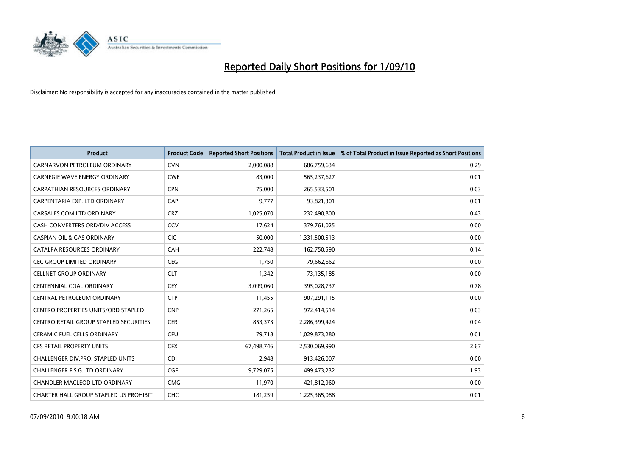

| <b>Product</b>                             | <b>Product Code</b> | <b>Reported Short Positions</b> | Total Product in Issue | % of Total Product in Issue Reported as Short Positions |
|--------------------------------------------|---------------------|---------------------------------|------------------------|---------------------------------------------------------|
| CARNARVON PETROLEUM ORDINARY               | <b>CVN</b>          | 2,000,088                       | 686,759,634            | 0.29                                                    |
| CARNEGIE WAVE ENERGY ORDINARY              | <b>CWE</b>          | 83,000                          | 565,237,627            | 0.01                                                    |
| <b>CARPATHIAN RESOURCES ORDINARY</b>       | <b>CPN</b>          | 75,000                          | 265,533,501            | 0.03                                                    |
| CARPENTARIA EXP. LTD ORDINARY              | CAP                 | 9,777                           | 93,821,301             | 0.01                                                    |
| CARSALES.COM LTD ORDINARY                  | <b>CRZ</b>          | 1,025,070                       | 232,490,800            | 0.43                                                    |
| CASH CONVERTERS ORD/DIV ACCESS             | CCV                 | 17,624                          | 379,761,025            | 0.00                                                    |
| <b>CASPIAN OIL &amp; GAS ORDINARY</b>      | <b>CIG</b>          | 50,000                          | 1,331,500,513          | 0.00                                                    |
| CATALPA RESOURCES ORDINARY                 | <b>CAH</b>          | 222,748                         | 162,750,590            | 0.14                                                    |
| CEC GROUP LIMITED ORDINARY                 | CEG                 | 1,750                           | 79,662,662             | 0.00                                                    |
| <b>CELLNET GROUP ORDINARY</b>              | <b>CLT</b>          | 1,342                           | 73,135,185             | 0.00                                                    |
| CENTENNIAL COAL ORDINARY                   | <b>CEY</b>          | 3,099,060                       | 395,028,737            | 0.78                                                    |
| CENTRAL PETROLEUM ORDINARY                 | <b>CTP</b>          | 11,455                          | 907,291,115            | 0.00                                                    |
| <b>CENTRO PROPERTIES UNITS/ORD STAPLED</b> | <b>CNP</b>          | 271,265                         | 972,414,514            | 0.03                                                    |
| CENTRO RETAIL GROUP STAPLED SECURITIES     | <b>CER</b>          | 853,373                         | 2,286,399,424          | 0.04                                                    |
| <b>CERAMIC FUEL CELLS ORDINARY</b>         | <b>CFU</b>          | 79,718                          | 1,029,873,280          | 0.01                                                    |
| <b>CFS RETAIL PROPERTY UNITS</b>           | <b>CFX</b>          | 67,498,746                      | 2,530,069,990          | 2.67                                                    |
| CHALLENGER DIV.PRO. STAPLED UNITS          | <b>CDI</b>          | 2,948                           | 913,426,007            | 0.00                                                    |
| CHALLENGER F.S.G.LTD ORDINARY              | <b>CGF</b>          | 9,729,075                       | 499,473,232            | 1.93                                                    |
| <b>CHANDLER MACLEOD LTD ORDINARY</b>       | <b>CMG</b>          | 11,970                          | 421,812,960            | 0.00                                                    |
| CHARTER HALL GROUP STAPLED US PROHIBIT.    | <b>CHC</b>          | 181,259                         | 1,225,365,088          | 0.01                                                    |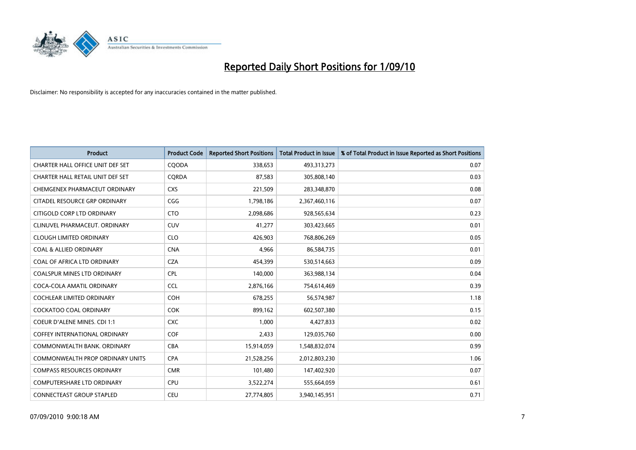

| <b>Product</b>                       | <b>Product Code</b> | <b>Reported Short Positions</b> | Total Product in Issue | % of Total Product in Issue Reported as Short Positions |
|--------------------------------------|---------------------|---------------------------------|------------------------|---------------------------------------------------------|
| CHARTER HALL OFFICE UNIT DEF SET     | CQODA               | 338,653                         | 493,313,273            | 0.07                                                    |
| CHARTER HALL RETAIL UNIT DEF SET     | CORDA               | 87,583                          | 305,808,140            | 0.03                                                    |
| CHEMGENEX PHARMACEUT ORDINARY        | <b>CXS</b>          | 221,509                         | 283,348,870            | 0.08                                                    |
| CITADEL RESOURCE GRP ORDINARY        | CGG                 | 1,798,186                       | 2,367,460,116          | 0.07                                                    |
| CITIGOLD CORP LTD ORDINARY           | <b>CTO</b>          | 2,098,686                       | 928,565,634            | 0.23                                                    |
| CLINUVEL PHARMACEUT, ORDINARY        | CUV                 | 41,277                          | 303,423,665            | 0.01                                                    |
| <b>CLOUGH LIMITED ORDINARY</b>       | <b>CLO</b>          | 426,903                         | 768,806,269            | 0.05                                                    |
| <b>COAL &amp; ALLIED ORDINARY</b>    | <b>CNA</b>          | 4,966                           | 86,584,735             | 0.01                                                    |
| COAL OF AFRICA LTD ORDINARY          | <b>CZA</b>          | 454,399                         | 530,514,663            | 0.09                                                    |
| <b>COALSPUR MINES LTD ORDINARY</b>   | <b>CPL</b>          | 140,000                         | 363,988,134            | 0.04                                                    |
| COCA-COLA AMATIL ORDINARY            | <b>CCL</b>          | 2,876,166                       | 754,614,469            | 0.39                                                    |
| <b>COCHLEAR LIMITED ORDINARY</b>     | <b>COH</b>          | 678,255                         | 56,574,987             | 1.18                                                    |
| <b>COCKATOO COAL ORDINARY</b>        | <b>COK</b>          | 899,162                         | 602,507,380            | 0.15                                                    |
| <b>COEUR D'ALENE MINES. CDI 1:1</b>  | <b>CXC</b>          | 1,000                           | 4,427,833              | 0.02                                                    |
| <b>COFFEY INTERNATIONAL ORDINARY</b> | <b>COF</b>          | 2,433                           | 129,035,760            | 0.00                                                    |
| COMMONWEALTH BANK, ORDINARY          | <b>CBA</b>          | 15,914,059                      | 1,548,832,074          | 0.99                                                    |
| COMMONWEALTH PROP ORDINARY UNITS     | <b>CPA</b>          | 21,528,256                      | 2,012,803,230          | 1.06                                                    |
| <b>COMPASS RESOURCES ORDINARY</b>    | <b>CMR</b>          | 101,480                         | 147,402,920            | 0.07                                                    |
| <b>COMPUTERSHARE LTD ORDINARY</b>    | <b>CPU</b>          | 3,522,274                       | 555,664,059            | 0.61                                                    |
| CONNECTEAST GROUP STAPLED            | CEU                 | 27,774,805                      | 3,940,145,951          | 0.71                                                    |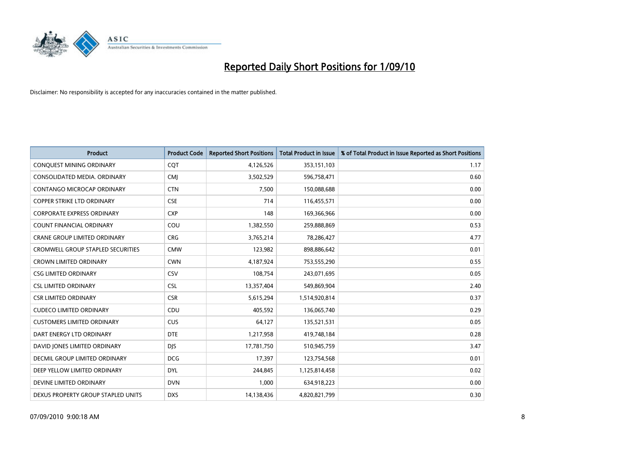

| <b>Product</b>                           | <b>Product Code</b> | <b>Reported Short Positions</b> | Total Product in Issue | % of Total Product in Issue Reported as Short Positions |
|------------------------------------------|---------------------|---------------------------------|------------------------|---------------------------------------------------------|
| <b>CONQUEST MINING ORDINARY</b>          | CQT                 | 4,126,526                       | 353,151,103            | 1.17                                                    |
| CONSOLIDATED MEDIA, ORDINARY             | <b>CMI</b>          | 3,502,529                       | 596,758,471            | 0.60                                                    |
| <b>CONTANGO MICROCAP ORDINARY</b>        | <b>CTN</b>          | 7,500                           | 150,088,688            | 0.00                                                    |
| COPPER STRIKE LTD ORDINARY               | <b>CSE</b>          | 714                             | 116,455,571            | 0.00                                                    |
| <b>CORPORATE EXPRESS ORDINARY</b>        | <b>CXP</b>          | 148                             | 169,366,966            | 0.00                                                    |
| <b>COUNT FINANCIAL ORDINARY</b>          | COU                 | 1,382,550                       | 259,888,869            | 0.53                                                    |
| <b>CRANE GROUP LIMITED ORDINARY</b>      | <b>CRG</b>          | 3,765,214                       | 78,286,427             | 4.77                                                    |
| <b>CROMWELL GROUP STAPLED SECURITIES</b> | <b>CMW</b>          | 123,982                         | 898,886,642            | 0.01                                                    |
| <b>CROWN LIMITED ORDINARY</b>            | <b>CWN</b>          | 4,187,924                       | 753,555,290            | 0.55                                                    |
| <b>CSG LIMITED ORDINARY</b>              | CSV                 | 108,754                         | 243,071,695            | 0.05                                                    |
| <b>CSL LIMITED ORDINARY</b>              | <b>CSL</b>          | 13,357,404                      | 549,869,904            | 2.40                                                    |
| <b>CSR LIMITED ORDINARY</b>              | <b>CSR</b>          | 5,615,294                       | 1,514,920,814          | 0.37                                                    |
| <b>CUDECO LIMITED ORDINARY</b>           | CDU                 | 405.592                         | 136,065,740            | 0.29                                                    |
| <b>CUSTOMERS LIMITED ORDINARY</b>        | CUS                 | 64,127                          | 135,521,531            | 0.05                                                    |
| DART ENERGY LTD ORDINARY                 | <b>DTE</b>          | 1,217,958                       | 419,748,184            | 0.28                                                    |
| DAVID JONES LIMITED ORDINARY             | <b>DIS</b>          | 17,781,750                      | 510,945,759            | 3.47                                                    |
| <b>DECMIL GROUP LIMITED ORDINARY</b>     | <b>DCG</b>          | 17,397                          | 123,754,568            | 0.01                                                    |
| DEEP YELLOW LIMITED ORDINARY             | <b>DYL</b>          | 244,845                         | 1,125,814,458          | 0.02                                                    |
| DEVINE LIMITED ORDINARY                  | <b>DVN</b>          | 1,000                           | 634,918,223            | 0.00                                                    |
| DEXUS PROPERTY GROUP STAPLED UNITS       | <b>DXS</b>          | 14,138,436                      | 4,820,821,799          | 0.30                                                    |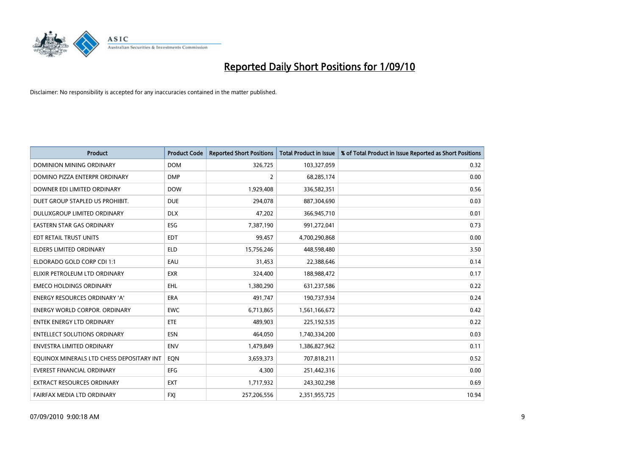

| <b>Product</b>                            | <b>Product Code</b> | <b>Reported Short Positions</b> | <b>Total Product in Issue</b> | % of Total Product in Issue Reported as Short Positions |
|-------------------------------------------|---------------------|---------------------------------|-------------------------------|---------------------------------------------------------|
| <b>DOMINION MINING ORDINARY</b>           | <b>DOM</b>          | 326,725                         | 103,327,059                   | 0.32                                                    |
| DOMINO PIZZA ENTERPR ORDINARY             | <b>DMP</b>          | 2                               | 68,285,174                    | 0.00                                                    |
| DOWNER EDI LIMITED ORDINARY               | <b>DOW</b>          | 1,929,408                       | 336,582,351                   | 0.56                                                    |
| DUET GROUP STAPLED US PROHIBIT.           | <b>DUE</b>          | 294,078                         | 887,304,690                   | 0.03                                                    |
| DULUXGROUP LIMITED ORDINARY               | <b>DLX</b>          | 47,202                          | 366,945,710                   | 0.01                                                    |
| <b>EASTERN STAR GAS ORDINARY</b>          | ESG                 | 7,387,190                       | 991,272,041                   | 0.73                                                    |
| EDT RETAIL TRUST UNITS                    | <b>EDT</b>          | 99,457                          | 4,700,290,868                 | 0.00                                                    |
| ELDERS LIMITED ORDINARY                   | <b>ELD</b>          | 15,756,246                      | 448,598,480                   | 3.50                                                    |
| ELDORADO GOLD CORP CDI 1:1                | EAU                 | 31,453                          | 22,388,646                    | 0.14                                                    |
| ELIXIR PETROLEUM LTD ORDINARY             | <b>EXR</b>          | 324,400                         | 188,988,472                   | 0.17                                                    |
| <b>EMECO HOLDINGS ORDINARY</b>            | <b>EHL</b>          | 1,380,290                       | 631,237,586                   | 0.22                                                    |
| <b>ENERGY RESOURCES ORDINARY 'A'</b>      | <b>ERA</b>          | 491,747                         | 190,737,934                   | 0.24                                                    |
| ENERGY WORLD CORPOR. ORDINARY             | <b>EWC</b>          | 6,713,865                       | 1,561,166,672                 | 0.42                                                    |
| <b>ENTEK ENERGY LTD ORDINARY</b>          | <b>ETE</b>          | 489,903                         | 225,192,535                   | 0.22                                                    |
| <b>ENTELLECT SOLUTIONS ORDINARY</b>       | <b>ESN</b>          | 464.050                         | 1,740,334,200                 | 0.03                                                    |
| ENVESTRA LIMITED ORDINARY                 | <b>ENV</b>          | 1,479,849                       | 1,386,827,962                 | 0.11                                                    |
| EQUINOX MINERALS LTD CHESS DEPOSITARY INT | EON                 | 3,659,373                       | 707,818,211                   | 0.52                                                    |
| <b>EVEREST FINANCIAL ORDINARY</b>         | <b>EFG</b>          | 4,300                           | 251,442,316                   | 0.00                                                    |
| EXTRACT RESOURCES ORDINARY                | <b>EXT</b>          | 1,717,932                       | 243,302,298                   | 0.69                                                    |
| FAIRFAX MEDIA LTD ORDINARY                | <b>FXI</b>          | 257,206,556                     | 2,351,955,725                 | 10.94                                                   |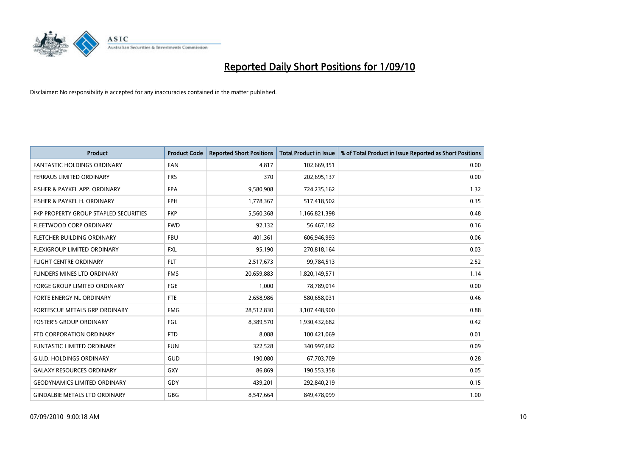

| <b>Product</b>                        | <b>Product Code</b> | <b>Reported Short Positions</b> | <b>Total Product in Issue</b> | % of Total Product in Issue Reported as Short Positions |
|---------------------------------------|---------------------|---------------------------------|-------------------------------|---------------------------------------------------------|
| <b>FANTASTIC HOLDINGS ORDINARY</b>    | <b>FAN</b>          | 4,817                           | 102,669,351                   | 0.00                                                    |
| FERRAUS LIMITED ORDINARY              | <b>FRS</b>          | 370                             | 202,695,137                   | 0.00                                                    |
| FISHER & PAYKEL APP. ORDINARY         | <b>FPA</b>          | 9,580,908                       | 724,235,162                   | 1.32                                                    |
| FISHER & PAYKEL H. ORDINARY           | <b>FPH</b>          | 1,778,367                       | 517,418,502                   | 0.35                                                    |
| FKP PROPERTY GROUP STAPLED SECURITIES | <b>FKP</b>          | 5,560,368                       | 1,166,821,398                 | 0.48                                                    |
| FLEETWOOD CORP ORDINARY               | <b>FWD</b>          | 92,132                          | 56,467,182                    | 0.16                                                    |
| <b>FLETCHER BUILDING ORDINARY</b>     | <b>FBU</b>          | 401,361                         | 606,946,993                   | 0.06                                                    |
| FLEXIGROUP LIMITED ORDINARY           | <b>FXL</b>          | 95,190                          | 270,818,164                   | 0.03                                                    |
| <b>FLIGHT CENTRE ORDINARY</b>         | <b>FLT</b>          | 2,517,673                       | 99,784,513                    | 2.52                                                    |
| <b>FLINDERS MINES LTD ORDINARY</b>    | <b>FMS</b>          | 20,659,883                      | 1,820,149,571                 | 1.14                                                    |
| FORGE GROUP LIMITED ORDINARY          | <b>FGE</b>          | 1,000                           | 78,789,014                    | 0.00                                                    |
| FORTE ENERGY NL ORDINARY              | <b>FTE</b>          | 2,658,986                       | 580,658,031                   | 0.46                                                    |
| FORTESCUE METALS GRP ORDINARY         | <b>FMG</b>          | 28,512,830                      | 3,107,448,900                 | 0.88                                                    |
| <b>FOSTER'S GROUP ORDINARY</b>        | FGL                 | 8,389,570                       | 1,930,432,682                 | 0.42                                                    |
| FTD CORPORATION ORDINARY              | <b>FTD</b>          | 8,088                           | 100,421,069                   | 0.01                                                    |
| <b>FUNTASTIC LIMITED ORDINARY</b>     | <b>FUN</b>          | 322,528                         | 340,997,682                   | 0.09                                                    |
| <b>G.U.D. HOLDINGS ORDINARY</b>       | GUD                 | 190,080                         | 67,703,709                    | 0.28                                                    |
| <b>GALAXY RESOURCES ORDINARY</b>      | <b>GXY</b>          | 86,869                          | 190,553,358                   | 0.05                                                    |
| <b>GEODYNAMICS LIMITED ORDINARY</b>   | GDY                 | 439,201                         | 292,840,219                   | 0.15                                                    |
| <b>GINDALBIE METALS LTD ORDINARY</b>  | <b>GBG</b>          | 8,547,664                       | 849,478,099                   | 1.00                                                    |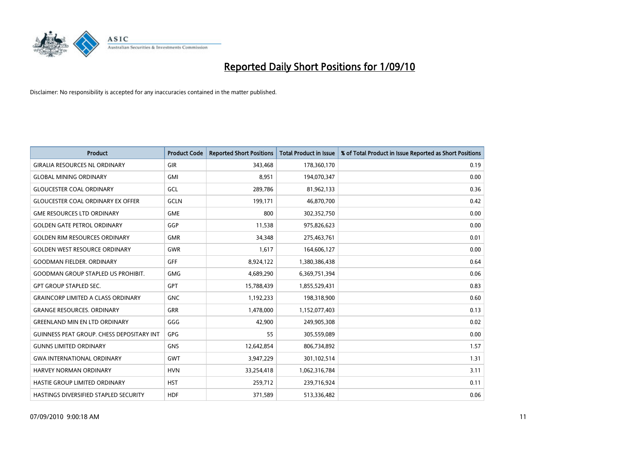

| <b>Product</b>                                   | <b>Product Code</b> | <b>Reported Short Positions</b> | <b>Total Product in Issue</b> | % of Total Product in Issue Reported as Short Positions |
|--------------------------------------------------|---------------------|---------------------------------|-------------------------------|---------------------------------------------------------|
| <b>GIRALIA RESOURCES NL ORDINARY</b>             | <b>GIR</b>          | 343,468                         | 178,360,170                   | 0.19                                                    |
| <b>GLOBAL MINING ORDINARY</b>                    | <b>GMI</b>          | 8,951                           | 194,070,347                   | 0.00                                                    |
| <b>GLOUCESTER COAL ORDINARY</b>                  | GCL                 | 289,786                         | 81,962,133                    | 0.36                                                    |
| <b>GLOUCESTER COAL ORDINARY EX OFFER</b>         | <b>GCLN</b>         | 199,171                         | 46,870,700                    | 0.42                                                    |
| <b>GME RESOURCES LTD ORDINARY</b>                | <b>GME</b>          | 800                             | 302,352,750                   | 0.00                                                    |
| <b>GOLDEN GATE PETROL ORDINARY</b>               | GGP                 | 11,538                          | 975,826,623                   | 0.00                                                    |
| <b>GOLDEN RIM RESOURCES ORDINARY</b>             | <b>GMR</b>          | 34,348                          | 275,463,761                   | 0.01                                                    |
| <b>GOLDEN WEST RESOURCE ORDINARY</b>             | <b>GWR</b>          | 1,617                           | 164,606,127                   | 0.00                                                    |
| <b>GOODMAN FIELDER, ORDINARY</b>                 | <b>GFF</b>          | 8,924,122                       | 1,380,386,438                 | 0.64                                                    |
| <b>GOODMAN GROUP STAPLED US PROHIBIT.</b>        | <b>GMG</b>          | 4,689,290                       | 6,369,751,394                 | 0.06                                                    |
| <b>GPT GROUP STAPLED SEC.</b>                    | <b>GPT</b>          | 15,788,439                      | 1,855,529,431                 | 0.83                                                    |
| <b>GRAINCORP LIMITED A CLASS ORDINARY</b>        | <b>GNC</b>          | 1,192,233                       | 198,318,900                   | 0.60                                                    |
| <b>GRANGE RESOURCES. ORDINARY</b>                | <b>GRR</b>          | 1,478,000                       | 1,152,077,403                 | 0.13                                                    |
| <b>GREENLAND MIN EN LTD ORDINARY</b>             | GGG                 | 42,900                          | 249,905,308                   | 0.02                                                    |
| <b>GUINNESS PEAT GROUP. CHESS DEPOSITARY INT</b> | GPG                 | 55                              | 305,559,089                   | 0.00                                                    |
| <b>GUNNS LIMITED ORDINARY</b>                    | <b>GNS</b>          | 12,642,854                      | 806,734,892                   | 1.57                                                    |
| <b>GWA INTERNATIONAL ORDINARY</b>                | <b>GWT</b>          | 3,947,229                       | 301,102,514                   | 1.31                                                    |
| <b>HARVEY NORMAN ORDINARY</b>                    | <b>HVN</b>          | 33,254,418                      | 1,062,316,784                 | 3.11                                                    |
| HASTIE GROUP LIMITED ORDINARY                    | <b>HST</b>          | 259,712                         | 239,716,924                   | 0.11                                                    |
| HASTINGS DIVERSIFIED STAPLED SECURITY            | <b>HDF</b>          | 371,589                         | 513,336,482                   | 0.06                                                    |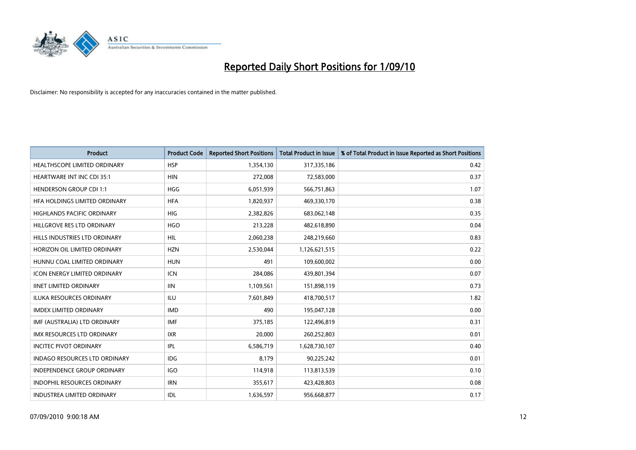

| <b>Product</b>                       | <b>Product Code</b> | <b>Reported Short Positions</b> | <b>Total Product in Issue</b> | % of Total Product in Issue Reported as Short Positions |
|--------------------------------------|---------------------|---------------------------------|-------------------------------|---------------------------------------------------------|
| <b>HEALTHSCOPE LIMITED ORDINARY</b>  | <b>HSP</b>          | 1,354,130                       | 317,335,186                   | 0.42                                                    |
| <b>HEARTWARE INT INC CDI 35:1</b>    | <b>HIN</b>          | 272,008                         | 72,583,000                    | 0.37                                                    |
| <b>HENDERSON GROUP CDI 1:1</b>       | <b>HGG</b>          | 6,051,939                       | 566,751,863                   | 1.07                                                    |
| HFA HOLDINGS LIMITED ORDINARY        | <b>HFA</b>          | 1,820,937                       | 469,330,170                   | 0.38                                                    |
| <b>HIGHLANDS PACIFIC ORDINARY</b>    | <b>HIG</b>          | 2,382,826                       | 683,062,148                   | 0.35                                                    |
| HILLGROVE RES LTD ORDINARY           | <b>HGO</b>          | 213,228                         | 482,618,890                   | 0.04                                                    |
| HILLS INDUSTRIES LTD ORDINARY        | <b>HIL</b>          | 2,060,238                       | 248,219,660                   | 0.83                                                    |
| HORIZON OIL LIMITED ORDINARY         | <b>HZN</b>          | 2,530,044                       | 1,126,621,515                 | 0.22                                                    |
| HUNNU COAL LIMITED ORDINARY          | <b>HUN</b>          | 491                             | 109,600,002                   | 0.00                                                    |
| <b>ICON ENERGY LIMITED ORDINARY</b>  | <b>ICN</b>          | 284,086                         | 439,801,394                   | 0.07                                                    |
| <b>IINET LIMITED ORDINARY</b>        | <b>IIN</b>          | 1,109,561                       | 151,898,119                   | 0.73                                                    |
| <b>ILUKA RESOURCES ORDINARY</b>      | <b>ILU</b>          | 7,601,849                       | 418,700,517                   | 1.82                                                    |
| <b>IMDEX LIMITED ORDINARY</b>        | <b>IMD</b>          | 490                             | 195,047,128                   | 0.00                                                    |
| IMF (AUSTRALIA) LTD ORDINARY         | <b>IMF</b>          | 375,185                         | 122,496,819                   | 0.31                                                    |
| IMX RESOURCES LTD ORDINARY           | <b>IXR</b>          | 20,000                          | 260,252,803                   | 0.01                                                    |
| <b>INCITEC PIVOT ORDINARY</b>        | <b>IPL</b>          | 6,586,719                       | 1,628,730,107                 | 0.40                                                    |
| <b>INDAGO RESOURCES LTD ORDINARY</b> | <b>IDG</b>          | 8,179                           | 90,225,242                    | 0.01                                                    |
| INDEPENDENCE GROUP ORDINARY          | <b>IGO</b>          | 114,918                         | 113,813,539                   | 0.10                                                    |
| <b>INDOPHIL RESOURCES ORDINARY</b>   | <b>IRN</b>          | 355,617                         | 423,428,803                   | 0.08                                                    |
| <b>INDUSTREA LIMITED ORDINARY</b>    | IDL                 | 1,636,597                       | 956,668,877                   | 0.17                                                    |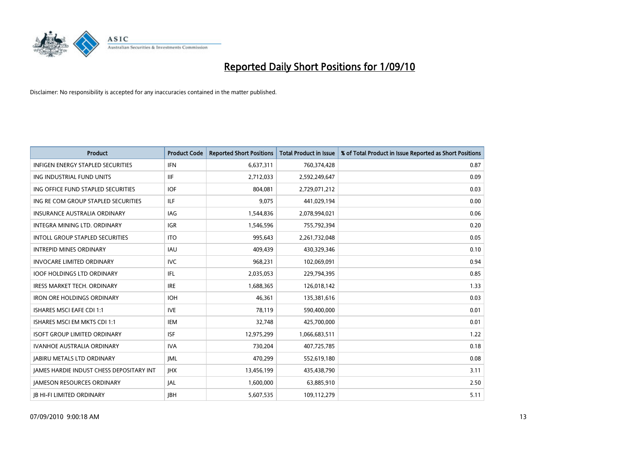

| <b>Product</b>                                  | <b>Product Code</b> | <b>Reported Short Positions</b> | <b>Total Product in Issue</b> | % of Total Product in Issue Reported as Short Positions |
|-------------------------------------------------|---------------------|---------------------------------|-------------------------------|---------------------------------------------------------|
| <b>INFIGEN ENERGY STAPLED SECURITIES</b>        | <b>IFN</b>          | 6,637,311                       | 760,374,428                   | 0.87                                                    |
| ING INDUSTRIAL FUND UNITS                       | <b>IIF</b>          | 2,712,033                       | 2,592,249,647                 | 0.09                                                    |
| ING OFFICE FUND STAPLED SECURITIES              | <b>IOF</b>          | 804.081                         | 2,729,071,212                 | 0.03                                                    |
| ING RE COM GROUP STAPLED SECURITIES             | <b>ILF</b>          | 9,075                           | 441,029,194                   | 0.00                                                    |
| <b>INSURANCE AUSTRALIA ORDINARY</b>             | <b>IAG</b>          | 1,544,836                       | 2,078,994,021                 | 0.06                                                    |
| INTEGRA MINING LTD, ORDINARY                    | <b>IGR</b>          | 1,546,596                       | 755,792,394                   | 0.20                                                    |
| <b>INTOLL GROUP STAPLED SECURITIES</b>          | <b>ITO</b>          | 995.643                         | 2,261,732,048                 | 0.05                                                    |
| <b>INTREPID MINES ORDINARY</b>                  | <b>IAU</b>          | 409,439                         | 430,329,346                   | 0.10                                                    |
| <b>INVOCARE LIMITED ORDINARY</b>                | <b>IVC</b>          | 968,231                         | 102,069,091                   | 0.94                                                    |
| <b>IOOF HOLDINGS LTD ORDINARY</b>               | IFL.                | 2,035,053                       | 229,794,395                   | 0.85                                                    |
| IRESS MARKET TECH. ORDINARY                     | <b>IRE</b>          | 1,688,365                       | 126,018,142                   | 1.33                                                    |
| <b>IRON ORE HOLDINGS ORDINARY</b>               | <b>IOH</b>          | 46,361                          | 135,381,616                   | 0.03                                                    |
| <b>ISHARES MSCI EAFE CDI 1:1</b>                | <b>IVE</b>          | 78,119                          | 590,400,000                   | 0.01                                                    |
| ISHARES MSCI EM MKTS CDI 1:1                    | <b>IEM</b>          | 32,748                          | 425,700,000                   | 0.01                                                    |
| <b>ISOFT GROUP LIMITED ORDINARY</b>             | <b>ISF</b>          | 12,975,299                      | 1,066,683,511                 | 1.22                                                    |
| IVANHOE AUSTRALIA ORDINARY                      | <b>IVA</b>          | 730,204                         | 407,725,785                   | 0.18                                                    |
| <b>JABIRU METALS LTD ORDINARY</b>               | <b>JML</b>          | 470,299                         | 552,619,180                   | 0.08                                                    |
| <b>JAMES HARDIE INDUST CHESS DEPOSITARY INT</b> | JHX                 | 13,456,199                      | 435,438,790                   | 3.11                                                    |
| <b>IAMESON RESOURCES ORDINARY</b>               | <b>JAL</b>          | 1,600,000                       | 63,885,910                    | 2.50                                                    |
| <b>IB HI-FI LIMITED ORDINARY</b>                | <b>IBH</b>          | 5,607,535                       | 109,112,279                   | 5.11                                                    |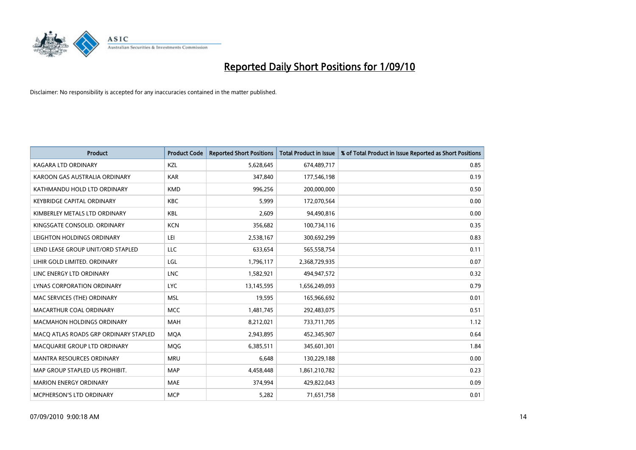

| <b>Product</b>                        | <b>Product Code</b> | <b>Reported Short Positions</b> | <b>Total Product in Issue</b> | % of Total Product in Issue Reported as Short Positions |
|---------------------------------------|---------------------|---------------------------------|-------------------------------|---------------------------------------------------------|
| <b>KAGARA LTD ORDINARY</b>            | KZL                 | 5,628,645                       | 674,489,717                   | 0.85                                                    |
| KAROON GAS AUSTRALIA ORDINARY         | <b>KAR</b>          | 347,840                         | 177,546,198                   | 0.19                                                    |
| KATHMANDU HOLD LTD ORDINARY           | <b>KMD</b>          | 996,256                         | 200,000,000                   | 0.50                                                    |
| <b>KEYBRIDGE CAPITAL ORDINARY</b>     | <b>KBC</b>          | 5,999                           | 172,070,564                   | 0.00                                                    |
| KIMBERLEY METALS LTD ORDINARY         | <b>KBL</b>          | 2,609                           | 94,490,816                    | 0.00                                                    |
| KINGSGATE CONSOLID, ORDINARY          | <b>KCN</b>          | 356,682                         | 100,734,116                   | 0.35                                                    |
| LEIGHTON HOLDINGS ORDINARY            | LEI                 | 2,538,167                       | 300,692,299                   | 0.83                                                    |
| LEND LEASE GROUP UNIT/ORD STAPLED     | LLC                 | 633,654                         | 565,558,754                   | 0.11                                                    |
| LIHIR GOLD LIMITED. ORDINARY          | LGL                 | 1,796,117                       | 2,368,729,935                 | 0.07                                                    |
| LINC ENERGY LTD ORDINARY              | <b>LNC</b>          | 1,582,921                       | 494,947,572                   | 0.32                                                    |
| LYNAS CORPORATION ORDINARY            | <b>LYC</b>          | 13,145,595                      | 1,656,249,093                 | 0.79                                                    |
| MAC SERVICES (THE) ORDINARY           | <b>MSL</b>          | 19,595                          | 165,966,692                   | 0.01                                                    |
| MACARTHUR COAL ORDINARY               | <b>MCC</b>          | 1,481,745                       | 292,483,075                   | 0.51                                                    |
| <b>MACMAHON HOLDINGS ORDINARY</b>     | MAH                 | 8,212,021                       | 733,711,705                   | 1.12                                                    |
| MACO ATLAS ROADS GRP ORDINARY STAPLED | <b>MOA</b>          | 2,943,895                       | 452,345,907                   | 0.64                                                    |
| MACQUARIE GROUP LTD ORDINARY          | <b>MOG</b>          | 6,385,511                       | 345,601,301                   | 1.84                                                    |
| MANTRA RESOURCES ORDINARY             | <b>MRU</b>          | 6,648                           | 130,229,188                   | 0.00                                                    |
| MAP GROUP STAPLED US PROHIBIT.        | <b>MAP</b>          | 4,458,448                       | 1,861,210,782                 | 0.23                                                    |
| <b>MARION ENERGY ORDINARY</b>         | <b>MAE</b>          | 374,994                         | 429,822,043                   | 0.09                                                    |
| MCPHERSON'S LTD ORDINARY              | <b>MCP</b>          | 5,282                           | 71,651,758                    | 0.01                                                    |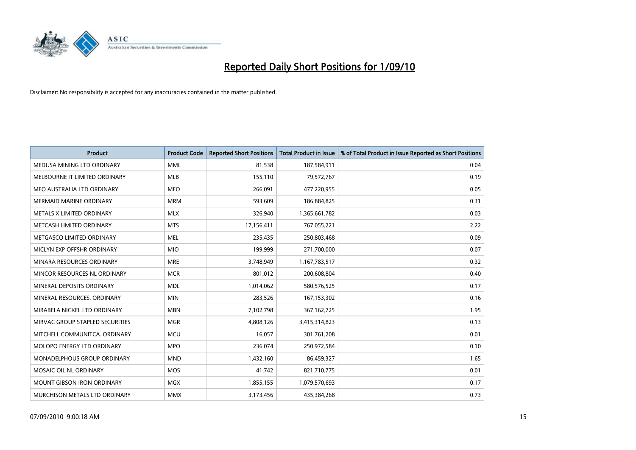![](_page_14_Picture_0.jpeg)

| <b>Product</b>                    | <b>Product Code</b> | <b>Reported Short Positions</b> | Total Product in Issue | % of Total Product in Issue Reported as Short Positions |
|-----------------------------------|---------------------|---------------------------------|------------------------|---------------------------------------------------------|
| MEDUSA MINING LTD ORDINARY        | <b>MML</b>          | 81,538                          | 187,584,911            | 0.04                                                    |
| MELBOURNE IT LIMITED ORDINARY     | MLB                 | 155,110                         | 79,572,767             | 0.19                                                    |
| MEO AUSTRALIA LTD ORDINARY        | <b>MEO</b>          | 266,091                         | 477,220,955            | 0.05                                                    |
| MERMAID MARINE ORDINARY           | <b>MRM</b>          | 593,609                         | 186,884,825            | 0.31                                                    |
| METALS X LIMITED ORDINARY         | <b>MLX</b>          | 326,940                         | 1,365,661,782          | 0.03                                                    |
| METCASH LIMITED ORDINARY          | <b>MTS</b>          | 17,156,411                      | 767,055,221            | 2.22                                                    |
| METGASCO LIMITED ORDINARY         | <b>MEL</b>          | 235,435                         | 250,803,468            | 0.09                                                    |
| MICLYN EXP OFFSHR ORDINARY        | <b>MIO</b>          | 199,999                         | 271,700,000            | 0.07                                                    |
| MINARA RESOURCES ORDINARY         | <b>MRE</b>          | 3,748,949                       | 1,167,783,517          | 0.32                                                    |
| MINCOR RESOURCES NL ORDINARY      | <b>MCR</b>          | 801,012                         | 200,608,804            | 0.40                                                    |
| MINERAL DEPOSITS ORDINARY         | <b>MDL</b>          | 1,014,062                       | 580,576,525            | 0.17                                                    |
| MINERAL RESOURCES, ORDINARY       | <b>MIN</b>          | 283,526                         | 167, 153, 302          | 0.16                                                    |
| MIRABELA NICKEL LTD ORDINARY      | <b>MBN</b>          | 7,102,798                       | 367, 162, 725          | 1.95                                                    |
| MIRVAC GROUP STAPLED SECURITIES   | <b>MGR</b>          | 4,808,126                       | 3,415,314,823          | 0.13                                                    |
| MITCHELL COMMUNITCA, ORDINARY     | <b>MCU</b>          | 16,057                          | 301,761,208            | 0.01                                                    |
| <b>MOLOPO ENERGY LTD ORDINARY</b> | <b>MPO</b>          | 236,074                         | 250,972,584            | 0.10                                                    |
| MONADELPHOUS GROUP ORDINARY       | <b>MND</b>          | 1,432,160                       | 86,459,327             | 1.65                                                    |
| MOSAIC OIL NL ORDINARY            | <b>MOS</b>          | 41,742                          | 821,710,775            | 0.01                                                    |
| <b>MOUNT GIBSON IRON ORDINARY</b> | <b>MGX</b>          | 1,855,155                       | 1,079,570,693          | 0.17                                                    |
| MURCHISON METALS LTD ORDINARY     | <b>MMX</b>          | 3,173,456                       | 435,384,268            | 0.73                                                    |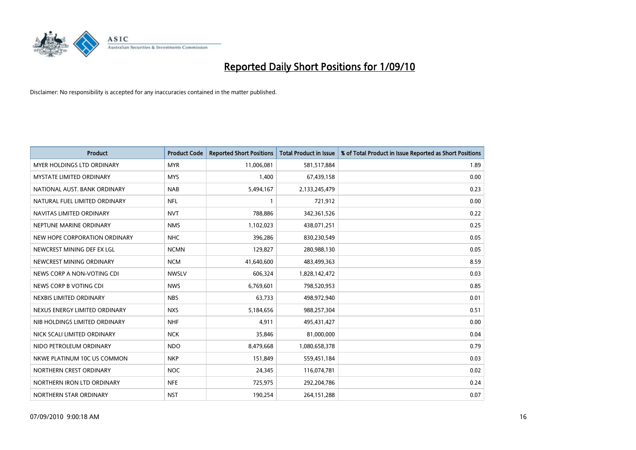![](_page_15_Picture_0.jpeg)

| <b>Product</b>                    | <b>Product Code</b> | <b>Reported Short Positions</b> | Total Product in Issue | % of Total Product in Issue Reported as Short Positions |
|-----------------------------------|---------------------|---------------------------------|------------------------|---------------------------------------------------------|
| <b>MYER HOLDINGS LTD ORDINARY</b> | <b>MYR</b>          | 11,006,081                      | 581,517,884            | 1.89                                                    |
| <b>MYSTATE LIMITED ORDINARY</b>   | <b>MYS</b>          | 1,400                           | 67,439,158             | 0.00                                                    |
| NATIONAL AUST. BANK ORDINARY      | <b>NAB</b>          | 5,494,167                       | 2,133,245,479          | 0.23                                                    |
| NATURAL FUEL LIMITED ORDINARY     | <b>NFL</b>          |                                 | 721,912                | 0.00                                                    |
| NAVITAS LIMITED ORDINARY          | <b>NVT</b>          | 788,886                         | 342,361,526            | 0.22                                                    |
| NEPTUNE MARINE ORDINARY           | <b>NMS</b>          | 1,102,023                       | 438,071,251            | 0.25                                                    |
| NEW HOPE CORPORATION ORDINARY     | <b>NHC</b>          | 396,286                         | 830,230,549            | 0.05                                                    |
| NEWCREST MINING DEF EX LGL        | <b>NCMN</b>         | 129,827                         | 280,988,130            | 0.05                                                    |
| NEWCREST MINING ORDINARY          | <b>NCM</b>          | 41,640,600                      | 483,499,363            | 8.59                                                    |
| NEWS CORP A NON-VOTING CDI        | <b>NWSLV</b>        | 606,324                         | 1,828,142,472          | 0.03                                                    |
| NEWS CORP B VOTING CDI            | <b>NWS</b>          | 6,769,601                       | 798,520,953            | 0.85                                                    |
| NEXBIS LIMITED ORDINARY           | <b>NBS</b>          | 63,733                          | 498,972,940            | 0.01                                                    |
| NEXUS ENERGY LIMITED ORDINARY     | <b>NXS</b>          | 5,184,656                       | 988,257,304            | 0.51                                                    |
| NIB HOLDINGS LIMITED ORDINARY     | <b>NHF</b>          | 4,911                           | 495,431,427            | 0.00                                                    |
| NICK SCALI LIMITED ORDINARY       | <b>NCK</b>          | 35,846                          | 81,000,000             | 0.04                                                    |
| NIDO PETROLEUM ORDINARY           | <b>NDO</b>          | 8,479,668                       | 1,080,658,378          | 0.79                                                    |
| NKWE PLATINUM 10C US COMMON       | <b>NKP</b>          | 151,849                         | 559,451,184            | 0.03                                                    |
| NORTHERN CREST ORDINARY           | <b>NOC</b>          | 24,345                          | 116,074,781            | 0.02                                                    |
| NORTHERN IRON LTD ORDINARY        | <b>NFE</b>          | 725,975                         | 292,204,786            | 0.24                                                    |
| NORTHERN STAR ORDINARY            | <b>NST</b>          | 190,254                         | 264, 151, 288          | 0.07                                                    |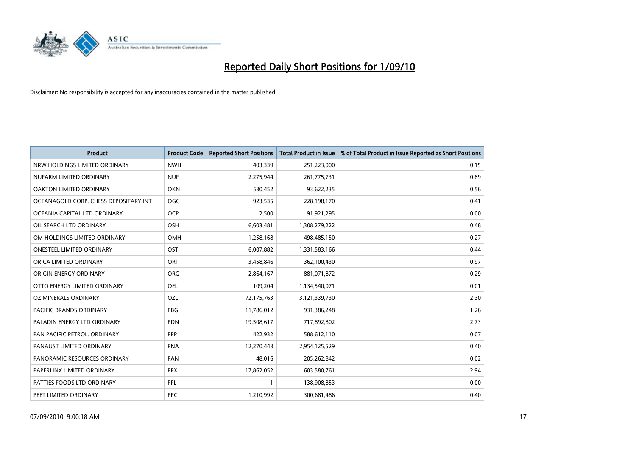![](_page_16_Picture_0.jpeg)

| <b>Product</b>                        | <b>Product Code</b> | <b>Reported Short Positions</b> | Total Product in Issue | % of Total Product in Issue Reported as Short Positions |
|---------------------------------------|---------------------|---------------------------------|------------------------|---------------------------------------------------------|
| NRW HOLDINGS LIMITED ORDINARY         | <b>NWH</b>          | 403,339                         | 251,223,000            | 0.15                                                    |
| NUFARM LIMITED ORDINARY               | <b>NUF</b>          | 2,275,944                       | 261,775,731            | 0.89                                                    |
| OAKTON LIMITED ORDINARY               | <b>OKN</b>          | 530,452                         | 93,622,235             | 0.56                                                    |
| OCEANAGOLD CORP. CHESS DEPOSITARY INT | <b>OGC</b>          | 923,535                         | 228,198,170            | 0.41                                                    |
| OCEANIA CAPITAL LTD ORDINARY          | <b>OCP</b>          | 2,500                           | 91,921,295             | 0.00                                                    |
| OIL SEARCH LTD ORDINARY               | <b>OSH</b>          | 6,603,481                       | 1,308,279,222          | 0.48                                                    |
| OM HOLDINGS LIMITED ORDINARY          | <b>OMH</b>          | 1,258,168                       | 498,485,150            | 0.27                                                    |
| ONESTEEL LIMITED ORDINARY             | OST                 | 6,007,882                       | 1,331,583,166          | 0.44                                                    |
| ORICA LIMITED ORDINARY                | ORI                 | 3,458,846                       | 362,100,430            | 0.97                                                    |
| ORIGIN ENERGY ORDINARY                | ORG                 | 2,864,167                       | 881,071,872            | 0.29                                                    |
| OTTO ENERGY LIMITED ORDINARY          | <b>OEL</b>          | 109,204                         | 1,134,540,071          | 0.01                                                    |
| OZ MINERALS ORDINARY                  | OZL                 | 72,175,763                      | 3,121,339,730          | 2.30                                                    |
| <b>PACIFIC BRANDS ORDINARY</b>        | PBG                 | 11,786,012                      | 931,386,248            | 1.26                                                    |
| PALADIN ENERGY LTD ORDINARY           | <b>PDN</b>          | 19,508,617                      | 717,892,802            | 2.73                                                    |
| PAN PACIFIC PETROL. ORDINARY          | <b>PPP</b>          | 422,932                         | 588,612,110            | 0.07                                                    |
| PANAUST LIMITED ORDINARY              | <b>PNA</b>          | 12,270,443                      | 2,954,125,529          | 0.40                                                    |
| PANORAMIC RESOURCES ORDINARY          | PAN                 | 48,016                          | 205,262,842            | 0.02                                                    |
| PAPERLINX LIMITED ORDINARY            | <b>PPX</b>          | 17,862,052                      | 603,580,761            | 2.94                                                    |
| PATTIES FOODS LTD ORDINARY            | PFL                 |                                 | 138,908,853            | 0.00                                                    |
| PEET LIMITED ORDINARY                 | <b>PPC</b>          | 1,210,992                       | 300,681,486            | 0.40                                                    |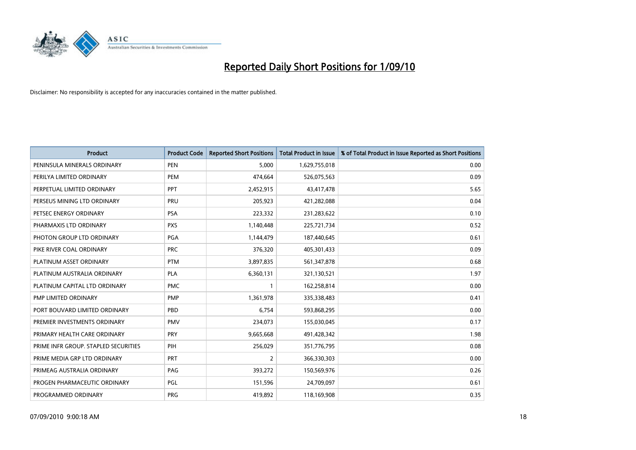![](_page_17_Picture_0.jpeg)

| <b>Product</b>                       | <b>Product Code</b> | <b>Reported Short Positions</b> | <b>Total Product in Issue</b> | % of Total Product in Issue Reported as Short Positions |
|--------------------------------------|---------------------|---------------------------------|-------------------------------|---------------------------------------------------------|
| PENINSULA MINERALS ORDINARY          | <b>PEN</b>          | 5,000                           | 1,629,755,018                 | 0.00                                                    |
| PERILYA LIMITED ORDINARY             | PEM                 | 474,664                         | 526,075,563                   | 0.09                                                    |
| PERPETUAL LIMITED ORDINARY           | PPT                 | 2,452,915                       | 43,417,478                    | 5.65                                                    |
| PERSEUS MINING LTD ORDINARY          | PRU                 | 205,923                         | 421,282,088                   | 0.04                                                    |
| PETSEC ENERGY ORDINARY               | <b>PSA</b>          | 223,332                         | 231,283,622                   | 0.10                                                    |
| PHARMAXIS LTD ORDINARY               | <b>PXS</b>          | 1,140,448                       | 225,721,734                   | 0.52                                                    |
| PHOTON GROUP LTD ORDINARY            | <b>PGA</b>          | 1,144,479                       | 187,440,645                   | 0.61                                                    |
| PIKE RIVER COAL ORDINARY             | <b>PRC</b>          | 376,320                         | 405,301,433                   | 0.09                                                    |
| PLATINUM ASSET ORDINARY              | <b>PTM</b>          | 3,897,835                       | 561,347,878                   | 0.68                                                    |
| PLATINUM AUSTRALIA ORDINARY          | <b>PLA</b>          | 6,360,131                       | 321,130,521                   | 1.97                                                    |
| PLATINUM CAPITAL LTD ORDINARY        | <b>PMC</b>          |                                 | 162,258,814                   | 0.00                                                    |
| PMP LIMITED ORDINARY                 | <b>PMP</b>          | 1,361,978                       | 335,338,483                   | 0.41                                                    |
| PORT BOUVARD LIMITED ORDINARY        | PBD                 | 6,754                           | 593,868,295                   | 0.00                                                    |
| PREMIER INVESTMENTS ORDINARY         | <b>PMV</b>          | 234,073                         | 155,030,045                   | 0.17                                                    |
| PRIMARY HEALTH CARE ORDINARY         | <b>PRY</b>          | 9,665,668                       | 491,428,342                   | 1.98                                                    |
| PRIME INFR GROUP. STAPLED SECURITIES | PIH                 | 256,029                         | 351,776,795                   | 0.08                                                    |
| PRIME MEDIA GRP LTD ORDINARY         | PRT                 | $\overline{2}$                  | 366,330,303                   | 0.00                                                    |
| PRIMEAG AUSTRALIA ORDINARY           | PAG                 | 393,272                         | 150,569,976                   | 0.26                                                    |
| PROGEN PHARMACEUTIC ORDINARY         | PGL                 | 151,596                         | 24,709,097                    | 0.61                                                    |
| PROGRAMMED ORDINARY                  | <b>PRG</b>          | 419,892                         | 118,169,908                   | 0.35                                                    |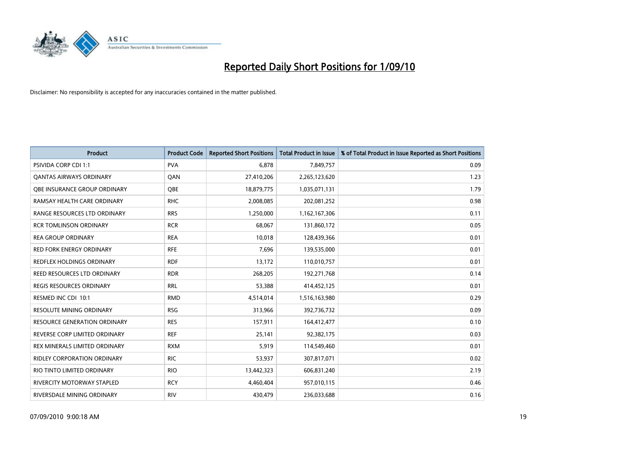![](_page_18_Picture_0.jpeg)

| <b>Product</b>                      | <b>Product Code</b> | <b>Reported Short Positions</b> | Total Product in Issue | % of Total Product in Issue Reported as Short Positions |
|-------------------------------------|---------------------|---------------------------------|------------------------|---------------------------------------------------------|
| <b>PSIVIDA CORP CDI 1:1</b>         | <b>PVA</b>          | 6,878                           | 7,849,757              | 0.09                                                    |
| <b>QANTAS AIRWAYS ORDINARY</b>      | QAN                 | 27,410,206                      | 2,265,123,620          | 1.23                                                    |
| QBE INSURANCE GROUP ORDINARY        | OBE                 | 18,879,775                      | 1,035,071,131          | 1.79                                                    |
| RAMSAY HEALTH CARE ORDINARY         | <b>RHC</b>          | 2,008,085                       | 202,081,252            | 0.98                                                    |
| RANGE RESOURCES LTD ORDINARY        | <b>RRS</b>          | 1,250,000                       | 1,162,167,306          | 0.11                                                    |
| <b>RCR TOMLINSON ORDINARY</b>       | <b>RCR</b>          | 68,067                          | 131,860,172            | 0.05                                                    |
| <b>REA GROUP ORDINARY</b>           | <b>REA</b>          | 10,018                          | 128,439,366            | 0.01                                                    |
| RED FORK ENERGY ORDINARY            | <b>RFE</b>          | 7,696                           | 139,535,000            | 0.01                                                    |
| <b>REDFLEX HOLDINGS ORDINARY</b>    | <b>RDF</b>          | 13,172                          | 110,010,757            | 0.01                                                    |
| REED RESOURCES LTD ORDINARY         | <b>RDR</b>          | 268,205                         | 192,271,768            | 0.14                                                    |
| REGIS RESOURCES ORDINARY            | <b>RRL</b>          | 53,388                          | 414,452,125            | 0.01                                                    |
| RESMED INC CDI 10:1                 | <b>RMD</b>          | 4,514,014                       | 1,516,163,980          | 0.29                                                    |
| RESOLUTE MINING ORDINARY            | <b>RSG</b>          | 313,966                         | 392,736,732            | 0.09                                                    |
| <b>RESOURCE GENERATION ORDINARY</b> | <b>RES</b>          | 157,911                         | 164,412,477            | 0.10                                                    |
| REVERSE CORP LIMITED ORDINARY       | <b>REF</b>          | 25,141                          | 92,382,175             | 0.03                                                    |
| REX MINERALS LIMITED ORDINARY       | <b>RXM</b>          | 5,919                           | 114,549,460            | 0.01                                                    |
| RIDLEY CORPORATION ORDINARY         | <b>RIC</b>          | 53,937                          | 307,817,071            | 0.02                                                    |
| RIO TINTO LIMITED ORDINARY          | <b>RIO</b>          | 13,442,323                      | 606,831,240            | 2.19                                                    |
| <b>RIVERCITY MOTORWAY STAPLED</b>   | <b>RCY</b>          | 4,460,404                       | 957,010,115            | 0.46                                                    |
| RIVERSDALE MINING ORDINARY          | <b>RIV</b>          | 430,479                         | 236,033,688            | 0.16                                                    |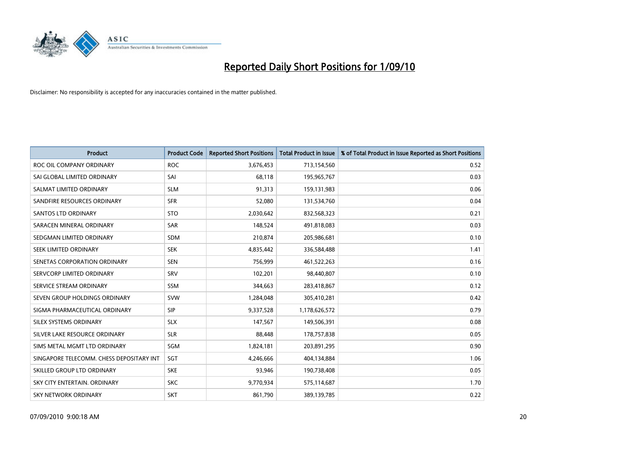![](_page_19_Picture_0.jpeg)

| <b>Product</b>                           | <b>Product Code</b> | <b>Reported Short Positions</b> | <b>Total Product in Issue</b> | % of Total Product in Issue Reported as Short Positions |
|------------------------------------------|---------------------|---------------------------------|-------------------------------|---------------------------------------------------------|
| ROC OIL COMPANY ORDINARY                 | <b>ROC</b>          | 3,676,453                       | 713,154,560                   | 0.52                                                    |
| SAI GLOBAL LIMITED ORDINARY              | SAI                 | 68,118                          | 195,965,767                   | 0.03                                                    |
| SALMAT LIMITED ORDINARY                  | <b>SLM</b>          | 91,313                          | 159,131,983                   | 0.06                                                    |
| SANDFIRE RESOURCES ORDINARY              | <b>SFR</b>          | 52,080                          | 131,534,760                   | 0.04                                                    |
| <b>SANTOS LTD ORDINARY</b>               | <b>STO</b>          | 2,030,642                       | 832,568,323                   | 0.21                                                    |
| SARACEN MINERAL ORDINARY                 | SAR                 | 148,524                         | 491,818,083                   | 0.03                                                    |
| SEDGMAN LIMITED ORDINARY                 | <b>SDM</b>          | 210,874                         | 205,986,681                   | 0.10                                                    |
| SEEK LIMITED ORDINARY                    | <b>SEK</b>          | 4,835,442                       | 336,584,488                   | 1.41                                                    |
| SENETAS CORPORATION ORDINARY             | <b>SEN</b>          | 756,999                         | 461,522,263                   | 0.16                                                    |
| SERVCORP LIMITED ORDINARY                | SRV                 | 102,201                         | 98,440,807                    | 0.10                                                    |
| SERVICE STREAM ORDINARY                  | <b>SSM</b>          | 344,663                         | 283,418,867                   | 0.12                                                    |
| SEVEN GROUP HOLDINGS ORDINARY            | <b>SVW</b>          | 1,284,048                       | 305,410,281                   | 0.42                                                    |
| SIGMA PHARMACEUTICAL ORDINARY            | <b>SIP</b>          | 9,337,528                       | 1,178,626,572                 | 0.79                                                    |
| SILEX SYSTEMS ORDINARY                   | <b>SLX</b>          | 147,567                         | 149,506,391                   | 0.08                                                    |
| SILVER LAKE RESOURCE ORDINARY            | <b>SLR</b>          | 88,448                          | 178,757,838                   | 0.05                                                    |
| SIMS METAL MGMT LTD ORDINARY             | SGM                 | 1,824,181                       | 203,891,295                   | 0.90                                                    |
| SINGAPORE TELECOMM. CHESS DEPOSITARY INT | SGT                 | 4,246,666                       | 404,134,884                   | 1.06                                                    |
| SKILLED GROUP LTD ORDINARY               | <b>SKE</b>          | 93,946                          | 190,738,408                   | 0.05                                                    |
| SKY CITY ENTERTAIN, ORDINARY             | <b>SKC</b>          | 9,770,934                       | 575,114,687                   | 1.70                                                    |
| SKY NETWORK ORDINARY                     | <b>SKT</b>          | 861,790                         | 389,139,785                   | 0.22                                                    |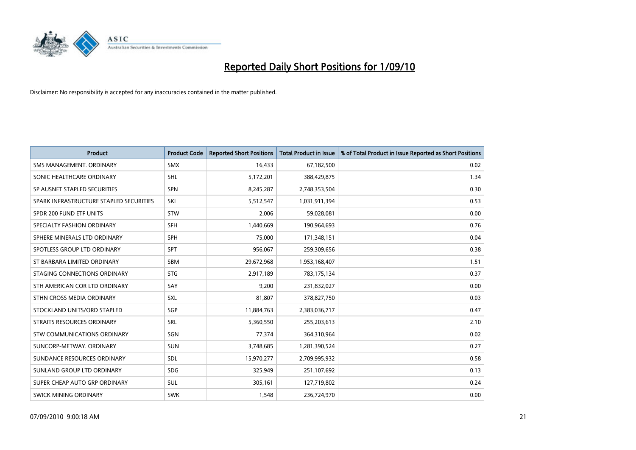![](_page_20_Picture_0.jpeg)

| <b>Product</b>                          | <b>Product Code</b> | <b>Reported Short Positions</b> | <b>Total Product in Issue</b> | % of Total Product in Issue Reported as Short Positions |
|-----------------------------------------|---------------------|---------------------------------|-------------------------------|---------------------------------------------------------|
| SMS MANAGEMENT, ORDINARY                | <b>SMX</b>          | 16.433                          | 67,182,500                    | 0.02                                                    |
| SONIC HEALTHCARE ORDINARY               | <b>SHL</b>          | 5,172,201                       | 388,429,875                   | 1.34                                                    |
| SP AUSNET STAPLED SECURITIES            | SPN                 | 8,245,287                       | 2,748,353,504                 | 0.30                                                    |
| SPARK INFRASTRUCTURE STAPLED SECURITIES | SKI                 | 5,512,547                       | 1,031,911,394                 | 0.53                                                    |
| SPDR 200 FUND ETF UNITS                 | STW                 | 2,006                           | 59,028,081                    | 0.00                                                    |
| SPECIALTY FASHION ORDINARY              | <b>SFH</b>          | 1,440,669                       | 190,964,693                   | 0.76                                                    |
| SPHERE MINERALS LTD ORDINARY            | <b>SPH</b>          | 75.000                          | 171,348,151                   | 0.04                                                    |
| SPOTLESS GROUP LTD ORDINARY             | SPT                 | 956,067                         | 259,309,656                   | 0.38                                                    |
| ST BARBARA LIMITED ORDINARY             | <b>SBM</b>          | 29,672,968                      | 1,953,168,407                 | 1.51                                                    |
| STAGING CONNECTIONS ORDINARY            | <b>STG</b>          | 2,917,189                       | 783,175,134                   | 0.37                                                    |
| STH AMERICAN COR LTD ORDINARY           | SAY                 | 9,200                           | 231,832,027                   | 0.00                                                    |
| STHN CROSS MEDIA ORDINARY               | SXL                 | 81,807                          | 378,827,750                   | 0.03                                                    |
| STOCKLAND UNITS/ORD STAPLED             | SGP                 | 11,884,763                      | 2,383,036,717                 | 0.47                                                    |
| STRAITS RESOURCES ORDINARY              | SRL                 | 5,360,550                       | 255,203,613                   | 2.10                                                    |
| STW COMMUNICATIONS ORDINARY             | SGN                 | 77.374                          | 364,310,964                   | 0.02                                                    |
| SUNCORP-METWAY, ORDINARY                | <b>SUN</b>          | 3,748,685                       | 1,281,390,524                 | 0.27                                                    |
| SUNDANCE RESOURCES ORDINARY             | <b>SDL</b>          | 15,970,277                      | 2,709,995,932                 | 0.58                                                    |
| SUNLAND GROUP LTD ORDINARY              | <b>SDG</b>          | 325,949                         | 251,107,692                   | 0.13                                                    |
| SUPER CHEAP AUTO GRP ORDINARY           | <b>SUL</b>          | 305,161                         | 127,719,802                   | 0.24                                                    |
| SWICK MINING ORDINARY                   | <b>SWK</b>          | 1,548                           | 236,724,970                   | 0.00                                                    |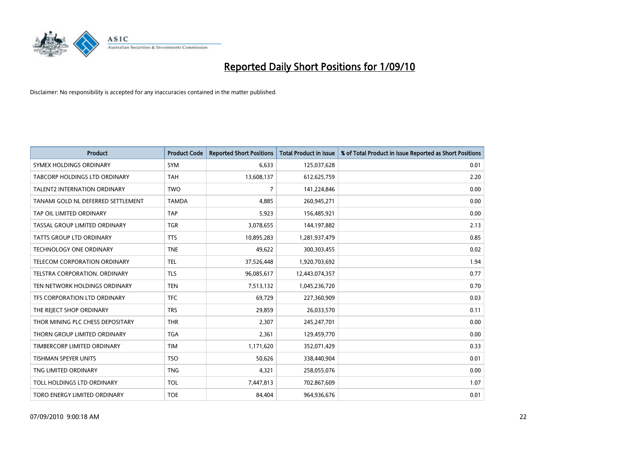![](_page_21_Picture_0.jpeg)

| <b>Product</b>                      | <b>Product Code</b> | <b>Reported Short Positions</b> | <b>Total Product in Issue</b> | % of Total Product in Issue Reported as Short Positions |
|-------------------------------------|---------------------|---------------------------------|-------------------------------|---------------------------------------------------------|
| <b>SYMEX HOLDINGS ORDINARY</b>      | SYM                 | 6,633                           | 125,037,628                   | 0.01                                                    |
| TABCORP HOLDINGS LTD ORDINARY       | <b>TAH</b>          | 13,608,137                      | 612,625,759                   | 2.20                                                    |
| <b>TALENT2 INTERNATION ORDINARY</b> | <b>TWO</b>          | $\overline{7}$                  | 141,224,846                   | 0.00                                                    |
| TANAMI GOLD NL DEFERRED SETTLEMENT  | <b>TAMDA</b>        | 4,885                           | 260,945,271                   | 0.00                                                    |
| TAP OIL LIMITED ORDINARY            | <b>TAP</b>          | 5,923                           | 156,485,921                   | 0.00                                                    |
| TASSAL GROUP LIMITED ORDINARY       | <b>TGR</b>          | 3,078,655                       | 144,197,882                   | 2.13                                                    |
| TATTS GROUP LTD ORDINARY            | <b>TTS</b>          | 10,895,283                      | 1,281,937,479                 | 0.85                                                    |
| TECHNOLOGY ONE ORDINARY             | <b>TNE</b>          | 49,622                          | 300,303,455                   | 0.02                                                    |
| TELECOM CORPORATION ORDINARY        | <b>TEL</b>          | 37,526,448                      | 1,920,703,692                 | 1.94                                                    |
| TELSTRA CORPORATION, ORDINARY       | <b>TLS</b>          | 96,085,617                      | 12,443,074,357                | 0.77                                                    |
| TEN NETWORK HOLDINGS ORDINARY       | <b>TEN</b>          | 7,513,132                       | 1,045,236,720                 | 0.70                                                    |
| TFS CORPORATION LTD ORDINARY        | <b>TFC</b>          | 69,729                          | 227,360,909                   | 0.03                                                    |
| THE REJECT SHOP ORDINARY            | <b>TRS</b>          | 29,859                          | 26,033,570                    | 0.11                                                    |
| THOR MINING PLC CHESS DEPOSITARY    | <b>THR</b>          | 2,307                           | 245,247,701                   | 0.00                                                    |
| THORN GROUP LIMITED ORDINARY        | <b>TGA</b>          | 2,361                           | 129,459,770                   | 0.00                                                    |
| TIMBERCORP LIMITED ORDINARY         | <b>TIM</b>          | 1,171,620                       | 352,071,429                   | 0.33                                                    |
| TISHMAN SPEYER UNITS                | <b>TSO</b>          | 50,626                          | 338,440,904                   | 0.01                                                    |
| TNG LIMITED ORDINARY                | <b>TNG</b>          | 4,321                           | 258,055,076                   | 0.00                                                    |
| TOLL HOLDINGS LTD ORDINARY          | <b>TOL</b>          | 7,447,813                       | 702,867,609                   | 1.07                                                    |
| TORO ENERGY LIMITED ORDINARY        | <b>TOE</b>          | 84,404                          | 964,936,676                   | 0.01                                                    |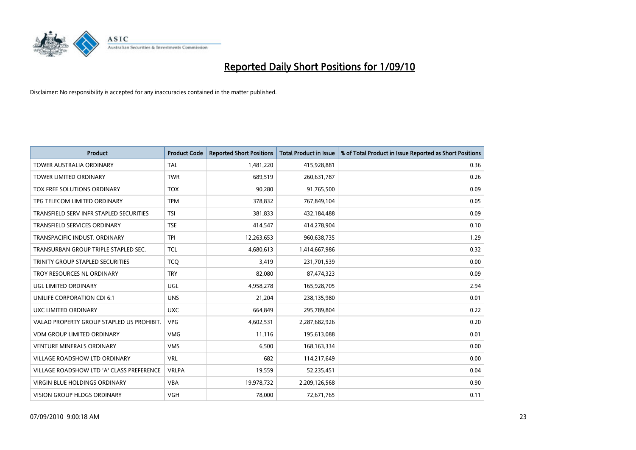![](_page_22_Picture_0.jpeg)

| <b>Product</b>                            | <b>Product Code</b> | <b>Reported Short Positions</b> | <b>Total Product in Issue</b> | % of Total Product in Issue Reported as Short Positions |
|-------------------------------------------|---------------------|---------------------------------|-------------------------------|---------------------------------------------------------|
| <b>TOWER AUSTRALIA ORDINARY</b>           | <b>TAL</b>          | 1,481,220                       | 415,928,881                   | 0.36                                                    |
| TOWER LIMITED ORDINARY                    | <b>TWR</b>          | 689,519                         | 260,631,787                   | 0.26                                                    |
| TOX FREE SOLUTIONS ORDINARY               | <b>TOX</b>          | 90,280                          | 91,765,500                    | 0.09                                                    |
| TPG TELECOM LIMITED ORDINARY              | <b>TPM</b>          | 378,832                         | 767,849,104                   | 0.05                                                    |
| TRANSFIELD SERV INFR STAPLED SECURITIES   | <b>TSI</b>          | 381,833                         | 432,184,488                   | 0.09                                                    |
| TRANSFIELD SERVICES ORDINARY              | <b>TSE</b>          | 414,547                         | 414,278,904                   | 0.10                                                    |
| TRANSPACIFIC INDUST, ORDINARY             | <b>TPI</b>          | 12,263,653                      | 960,638,735                   | 1.29                                                    |
| TRANSURBAN GROUP TRIPLE STAPLED SEC.      | <b>TCL</b>          | 4,680,613                       | 1,414,667,986                 | 0.32                                                    |
| TRINITY GROUP STAPLED SECURITIES          | <b>TCO</b>          | 3,419                           | 231,701,539                   | 0.00                                                    |
| TROY RESOURCES NL ORDINARY                | <b>TRY</b>          | 82,080                          | 87,474,323                    | 0.09                                                    |
| UGL LIMITED ORDINARY                      | UGL                 | 4,958,278                       | 165,928,705                   | 2.94                                                    |
| UNILIFE CORPORATION CDI 6:1               | <b>UNS</b>          | 21,204                          | 238,135,980                   | 0.01                                                    |
| UXC LIMITED ORDINARY                      | <b>UXC</b>          | 664,849                         | 295,789,804                   | 0.22                                                    |
| VALAD PROPERTY GROUP STAPLED US PROHIBIT. | <b>VPG</b>          | 4,602,531                       | 2,287,682,926                 | 0.20                                                    |
| <b>VDM GROUP LIMITED ORDINARY</b>         | <b>VMG</b>          | 11,116                          | 195,613,088                   | 0.01                                                    |
| <b>VENTURE MINERALS ORDINARY</b>          | <b>VMS</b>          | 6,500                           | 168, 163, 334                 | 0.00                                                    |
| <b>VILLAGE ROADSHOW LTD ORDINARY</b>      | <b>VRL</b>          | 682                             | 114,217,649                   | 0.00                                                    |
| VILLAGE ROADSHOW LTD 'A' CLASS PREFERENCE | <b>VRLPA</b>        | 19,559                          | 52,235,451                    | 0.04                                                    |
| <b>VIRGIN BLUE HOLDINGS ORDINARY</b>      | <b>VBA</b>          | 19,978,732                      | 2,209,126,568                 | 0.90                                                    |
| <b>VISION GROUP HLDGS ORDINARY</b>        | <b>VGH</b>          | 78.000                          | 72,671,765                    | 0.11                                                    |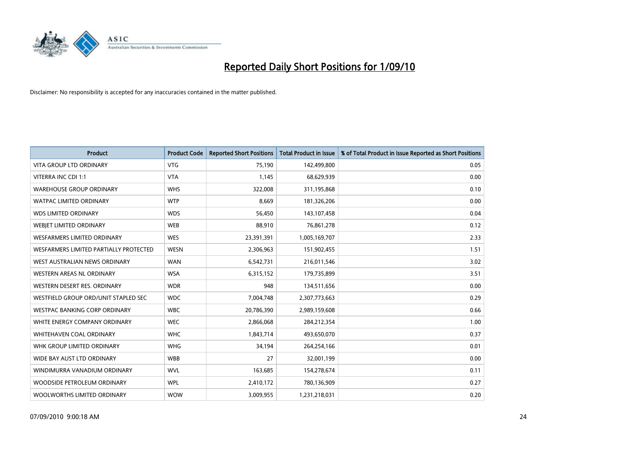![](_page_23_Picture_0.jpeg)

| <b>Product</b>                         | <b>Product Code</b> | <b>Reported Short Positions</b> | <b>Total Product in Issue</b> | % of Total Product in Issue Reported as Short Positions |
|----------------------------------------|---------------------|---------------------------------|-------------------------------|---------------------------------------------------------|
| <b>VITA GROUP LTD ORDINARY</b>         | <b>VTG</b>          | 75,190                          | 142,499,800                   | 0.05                                                    |
| VITERRA INC CDI 1:1                    | <b>VTA</b>          | 1,145                           | 68,629,939                    | 0.00                                                    |
| <b>WAREHOUSE GROUP ORDINARY</b>        | <b>WHS</b>          | 322,008                         | 311,195,868                   | 0.10                                                    |
| <b>WATPAC LIMITED ORDINARY</b>         | <b>WTP</b>          | 8,669                           | 181,326,206                   | 0.00                                                    |
| <b>WDS LIMITED ORDINARY</b>            | <b>WDS</b>          | 56,450                          | 143,107,458                   | 0.04                                                    |
| WEBIET LIMITED ORDINARY                | <b>WEB</b>          | 88,910                          | 76,861,278                    | 0.12                                                    |
| <b>WESFARMERS LIMITED ORDINARY</b>     | <b>WES</b>          | 23,391,391                      | 1,005,169,707                 | 2.33                                                    |
| WESFARMERS LIMITED PARTIALLY PROTECTED | <b>WESN</b>         | 2,306,963                       | 151,902,455                   | 1.51                                                    |
| WEST AUSTRALIAN NEWS ORDINARY          | <b>WAN</b>          | 6,542,731                       | 216,011,546                   | 3.02                                                    |
| WESTERN AREAS NL ORDINARY              | <b>WSA</b>          | 6,315,152                       | 179,735,899                   | 3.51                                                    |
| WESTERN DESERT RES. ORDINARY           | <b>WDR</b>          | 948                             | 134,511,656                   | 0.00                                                    |
| WESTFIELD GROUP ORD/UNIT STAPLED SEC   | <b>WDC</b>          | 7,004,748                       | 2,307,773,663                 | 0.29                                                    |
| WESTPAC BANKING CORP ORDINARY          | <b>WBC</b>          | 20,786,390                      | 2,989,159,608                 | 0.66                                                    |
| WHITE ENERGY COMPANY ORDINARY          | <b>WEC</b>          | 2,866,068                       | 284,212,354                   | 1.00                                                    |
| WHITEHAVEN COAL ORDINARY               | <b>WHC</b>          | 1,843,714                       | 493,650,070                   | 0.37                                                    |
| WHK GROUP LIMITED ORDINARY             | <b>WHG</b>          | 34,194                          | 264,254,166                   | 0.01                                                    |
| WIDE BAY AUST LTD ORDINARY             | <b>WBB</b>          | 27                              | 32,001,199                    | 0.00                                                    |
| WINDIMURRA VANADIUM ORDINARY           | <b>WVL</b>          | 163,685                         | 154,278,674                   | 0.11                                                    |
| WOODSIDE PETROLEUM ORDINARY            | <b>WPL</b>          | 2,410,172                       | 780,136,909                   | 0.27                                                    |
| WOOLWORTHS LIMITED ORDINARY            | <b>WOW</b>          | 3,009,955                       | 1,231,218,031                 | 0.20                                                    |